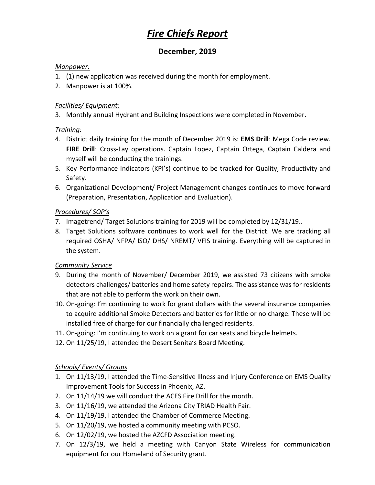# *Fire Chiefs Report*

## **December, 2019**

#### *Manpower:*

- 1. (1) new application was received during the month for employment.
- 2. Manpower is at 100%.

#### *Facilities/ Equipment:*

3. Monthly annual Hydrant and Building Inspections were completed in November.

#### *Training:*

- 4. District daily training for the month of December 2019 is: **EMS Drill**: Mega Code review. **FIRE Drill**: Cross-Lay operations. Captain Lopez, Captain Ortega, Captain Caldera and myself will be conducting the trainings.
- 5. Key Performance Indicators (KPI's) continue to be tracked for Quality, Productivity and Safety.
- 6. Organizational Development/ Project Management changes continues to move forward (Preparation, Presentation, Application and Evaluation).

#### *Procedures/ SOP's*

- 7. Imagetrend/ Target Solutions training for 2019 will be completed by 12/31/19..
- 8. Target Solutions software continues to work well for the District. We are tracking all required OSHA/ NFPA/ ISO/ DHS/ NREMT/ VFIS training. Everything will be captured in the system.

#### *Community Service*

- 9. During the month of November/ December 2019, we assisted 73 citizens with smoke detectors challenges/ batteries and home safety repairs. The assistance was for residents that are not able to perform the work on their own.
- 10. On-going: I'm continuing to work for grant dollars with the several insurance companies to acquire additional Smoke Detectors and batteries for little or no charge. These will be installed free of charge for our financially challenged residents.
- 11. On-going: I'm continuing to work on a grant for car seats and bicycle helmets.
- 12. On 11/25/19, I attended the Desert Senita's Board Meeting.

### *Schools/ Events/ Groups*

- 1. On 11/13/19, I attended the Time-Sensitive Illness and Injury Conference on EMS Quality Improvement Tools for Success in Phoenix, AZ.
- 2. On 11/14/19 we will conduct the ACES Fire Drill for the month.
- 3. On 11/16/19, we attended the Arizona City TRIAD Health Fair.
- 4. On 11/19/19, I attended the Chamber of Commerce Meeting.
- 5. On 11/20/19, we hosted a community meeting with PCSO.
- 6. On 12/02/19, we hosted the AZCFD Association meeting.
- 7. On 12/3/19, we held a meeting with Canyon State Wireless for communication equipment for our Homeland of Security grant.